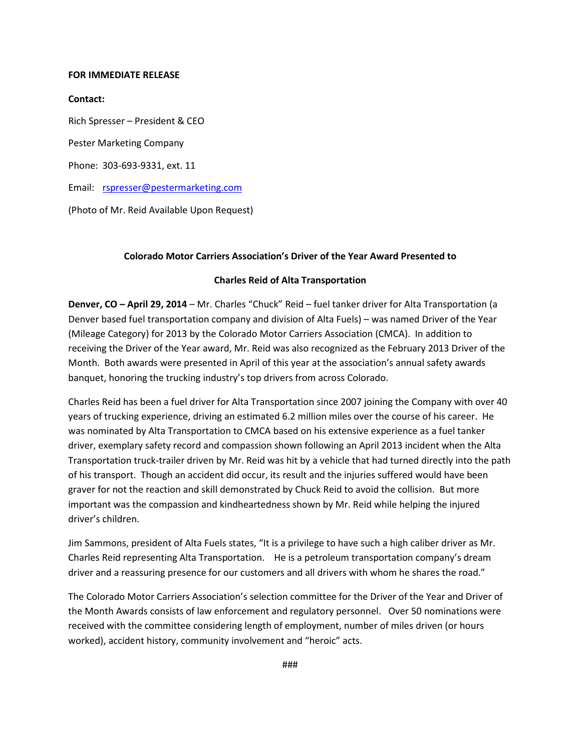#### **FOR IMMEDIATE RELEASE**

#### **Contact:**

Rich Spresser – President & CEO Pester Marketing Company Phone: 303-693-9331, ext. 11 Email: [rspresser@pestermarketing.com](mailto:rspresser@pestermarketing.com)

(Photo of Mr. Reid Available Upon Request)

## **Colorado Motor Carriers Association's Driver of the Year Award Presented to**

### **Charles Reid of Alta Transportation**

**Denver, CO – April 29, 2014** – Mr. Charles "Chuck" Reid – fuel tanker driver for Alta Transportation (a Denver based fuel transportation company and division of Alta Fuels) – was named Driver of the Year (Mileage Category) for 2013 by the Colorado Motor Carriers Association (CMCA). In addition to receiving the Driver of the Year award, Mr. Reid was also recognized as the February 2013 Driver of the Month. Both awards were presented in April of this year at the association's annual safety awards banquet, honoring the trucking industry's top drivers from across Colorado.

Charles Reid has been a fuel driver for Alta Transportation since 2007 joining the Company with over 40 years of trucking experience, driving an estimated 6.2 million miles over the course of his career. He was nominated by Alta Transportation to CMCA based on his extensive experience as a fuel tanker driver, exemplary safety record and compassion shown following an April 2013 incident when the Alta Transportation truck-trailer driven by Mr. Reid was hit by a vehicle that had turned directly into the path of his transport. Though an accident did occur, its result and the injuries suffered would have been graver for not the reaction and skill demonstrated by Chuck Reid to avoid the collision. But more important was the compassion and kindheartedness shown by Mr. Reid while helping the injured driver's children.

Jim Sammons, president of Alta Fuels states, "It is a privilege to have such a high caliber driver as Mr. Charles Reid representing Alta Transportation. He is a petroleum transportation company's dream driver and a reassuring presence for our customers and all drivers with whom he shares the road."

The Colorado Motor Carriers Association's selection committee for the Driver of the Year and Driver of the Month Awards consists of law enforcement and regulatory personnel. Over 50 nominations were received with the committee considering length of employment, number of miles driven (or hours worked), accident history, community involvement and "heroic" acts.